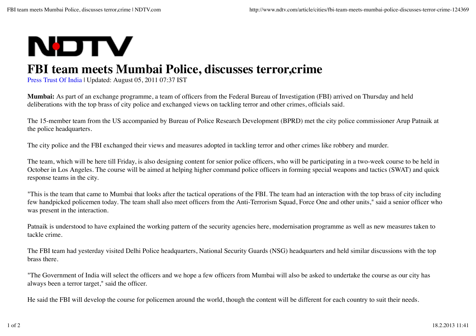## **NOTV**

## **FBI team meets Mumbai Police, discusses terror,crime**

Press Trust Of India | Updated: August 05, 2011 07:37 IST

**Mumbai:** As part of an exchange programme, a team of officers from the Federal Bureau of Investigation (FBI) arrived on Thursday and held deliberations with the top brass of city police and exchanged views on tackling terror and other crimes, officials said.

The 15-member team from the US accompanied by Bureau of Police Research Development (BPRD) met the city police commissioner Arup Patnaik at the police headquarters.

The city police and the FBI exchanged their views and measures adopted in tackling terror and other crimes like robbery and murder.

The team, which will be here till Friday, is also designing content for senior police officers, who will be participating in a two-week course to be held in October in Los Angeles. The course will be aimed at helping higher command police officers in forming special weapons and tactics (SWAT) and quick response teams in the city.

"This is the team that came to Mumbai that looks after the tactical operations of the FBI. The team had an interaction with the top brass of city including few handpicked policemen today. The team shall also meet officers from the Anti-Terrorism Squad, Force One and other units," said a senior officer who was present in the interaction.

Patnaik is understood to have explained the working pattern of the security agencies here, modernisation programme as well as new measures taken to tackle crime.

The FBI team had yesterday visited Delhi Police headquarters, National Security Guards (NSG) headquarters and held similar discussions with the top brass there.

"The Government of India will select the officers and we hope a few officers from Mumbai will also be asked to undertake the course as our city has always been a terror target," said the officer.

He said the FBI will develop the course for policemen around the world, though the content will be different for each country to suit their needs.